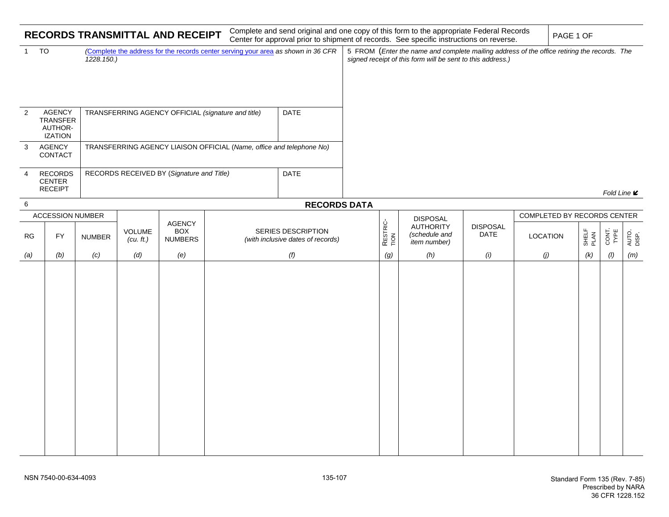| RECORDS TRANSMITTAL AND RECEIPT |                                                                                                     |               |                                                                      |                                               |                                                         |  |                  | Complete and send original and one copy of this form to the appropriate Federal Records<br>Center for approval prior to shipment of records. See specific instructions on reverse. |                                                                                                                                                           |                 |                             |               | PAGE 1 OF     |                    |  |  |
|---------------------------------|-----------------------------------------------------------------------------------------------------|---------------|----------------------------------------------------------------------|-----------------------------------------------|---------------------------------------------------------|--|------------------|------------------------------------------------------------------------------------------------------------------------------------------------------------------------------------|-----------------------------------------------------------------------------------------------------------------------------------------------------------|-----------------|-----------------------------|---------------|---------------|--------------------|--|--|
| 1                               | TO<br>Complete the address for the records center serving your area as shown in 36 CFR<br>1228.150. |               |                                                                      |                                               |                                                         |  |                  |                                                                                                                                                                                    | 5 FROM (Enter the name and complete mailing address of the office retiring the records. The<br>signed receipt of this form will be sent to this address.) |                 |                             |               |               |                    |  |  |
| $\overline{2}$                  | AGENCY<br><b>TRANSFER</b><br>AUTHOR-<br><b>IZATION</b>                                              |               | DATE<br>TRANSFERRING AGENCY OFFICIAL (signature and title)           |                                               |                                                         |  |                  |                                                                                                                                                                                    |                                                                                                                                                           |                 |                             |               |               |                    |  |  |
| 3                               | <b>AGENCY</b><br>CONTACT                                                                            |               | TRANSFERRING AGENCY LIAISON OFFICIAL (Name, office and telephone No) |                                               |                                                         |  |                  |                                                                                                                                                                                    |                                                                                                                                                           |                 |                             |               |               |                    |  |  |
| 4                               | <b>RECORDS</b><br><b>CENTER</b><br><b>RECEIPT</b>                                                   |               | DATE<br>RECORDS RECEIVED BY (Signature and Title)                    |                                               |                                                         |  |                  |                                                                                                                                                                                    |                                                                                                                                                           |                 |                             |               |               | Fold Line <b>⊯</b> |  |  |
|                                 | 6<br><b>RECORDS DATA</b>                                                                            |               |                                                                      |                                               |                                                         |  |                  |                                                                                                                                                                                    |                                                                                                                                                           |                 |                             |               |               |                    |  |  |
|                                 | <b>ACCESSION NUMBER</b>                                                                             |               |                                                                      |                                               |                                                         |  |                  |                                                                                                                                                                                    |                                                                                                                                                           |                 | COMPLETED BY RECORDS CENTER |               |               |                    |  |  |
| <b>RG</b>                       | <b>FY</b>                                                                                           | <b>NUMBER</b> | VOLUME<br>$(cu. \, \text{ft.})$                                      | <b>AGENCY</b><br><b>BOX</b><br><b>NUMBERS</b> | SERIES DESCRIPTION<br>(with inclusive dates of records) |  | RESTRIC-<br>TION | <b>DISPOSAL</b><br><b>AUTHORITY</b><br>(schedule and<br>item number)                                                                                                               | <b>DISPOSAL</b><br>DATE                                                                                                                                   | <b>LOCATION</b> |                             | SHELF<br>PLAN | CONT.<br>TYPE | AUTO.<br>DISP.     |  |  |
| (a)                             | (b)                                                                                                 | (c)           | (d)                                                                  | (e)                                           |                                                         |  | (g)              | (h)                                                                                                                                                                                | (i)                                                                                                                                                       | (j)             |                             | (k)           | (1)           | (m)                |  |  |
|                                 |                                                                                                     |               |                                                                      |                                               |                                                         |  |                  |                                                                                                                                                                                    |                                                                                                                                                           |                 |                             |               |               |                    |  |  |